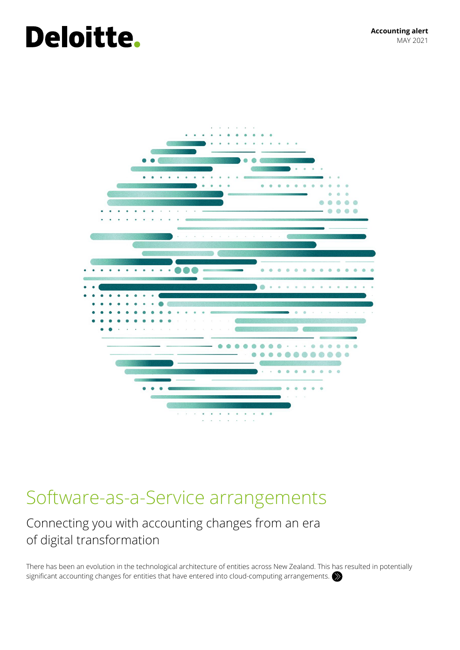# **Deloitte.**



## Software-as-a-Service arrangements

## Connecting you with accounting changes from an era of digital transformation

There has been an evolution in the technological architecture of entities across New Zealand. This has resulted in potentially significant accounting changes for entities that have entered into cloud-computing arrangements.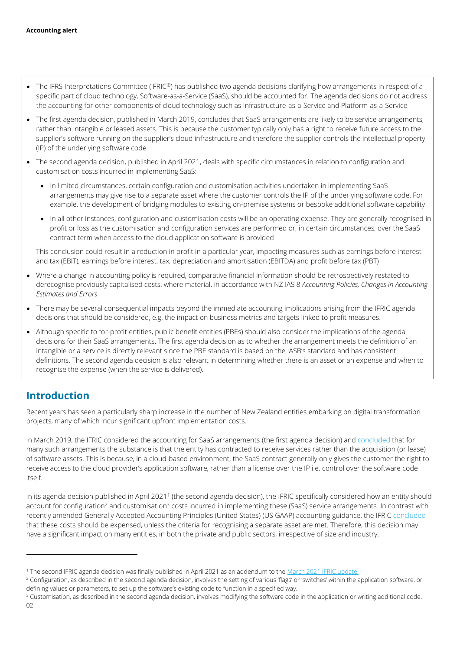- The IFRS Interpretations Committee (IFRIC®) has published two agenda decisions clarifying how arrangements in respect of a specific part of cloud technology, Software-as-a-Service (SaaS), should be accounted for. The agenda decisions do not address the accounting for other components of cloud technology such as Infrastructure-as-a-Service and Platform-as-a-Service
- The first agenda decision, published in March 2019, concludes that SaaS arrangements are likely to be service arrangements, rather than intangible or leased assets. This is because the customer typically only has a right to receive future access to the supplier's software running on the supplier's cloud infrastructure and therefore the supplier controls the intellectual property (IP) of the underlying software code
- The second agenda decision, published in April 2021, deals with specific circumstances in relation to configuration and customisation costs incurred in implementing SaaS:
	- In limited circumstances, certain configuration and customisation activities undertaken in implementing SaaS arrangements may give rise to a separate asset where the customer controls the IP of the underlying software code. For example, the development of bridging modules to existing on-premise systems or bespoke additional software capability
	- In all other instances, configuration and customisation costs will be an operating expense. They are generally recognised in profit or loss as the customisation and configuration services are performed or, in certain circumstances, over the SaaS contract term when access to the cloud application software is provided

This conclusion could result in a reduction in profit in a particular year, impacting measures such as earnings before interest and tax (EBIT), earnings before interest, tax, depreciation and amortisation (EBITDA) and profit before tax (PBT)

- Where a change in accounting policy is required, comparative financial information should be retrospectively restated to derecognise previously capitalised costs, where material, in accordance with NZ IAS 8 *Accounting Policies, Changes in Accounting Estimates and Errors*
- There may be several consequential impacts beyond the immediate accounting implications arising from the IFRIC agenda decisions that should be considered, e.g. the impact on business metrics and targets linked to profit measures.
- Although specific to for-profit entities, public benefit entities (PBEs) should also consider the implications of the agenda decisions for their SaaS arrangements. The first agenda decision as to whether the arrangement meets the definition of an intangible or a service is directly relevant since the PBE standard is based on the IASB's standard and has consistent definitions. The second agenda decision is also relevant in determining whether there is an asset or an expense and when to recognise the expense (when the service is delivered).

## **Introduction**

Recent years has seen a particularly sharp increase in the number of New Zealand entities embarking on digital transformation projects, many of which incur significant upfront implementation costs.

In March 2019, the IFRIC considered the accounting for SaaS arrangements (the first agenda decision) and [concluded](https://www.ifrs.org/news-and-events/updates/ifric/2019/ifric-update-march-2019/#12) that for many such arrangements the substance is that the entity has contracted to receive services rather than the acquisition (or lease) of software assets. This is because, in a cloud-based environment, the SaaS contract generally only gives the customer the right to receive access to the cloud provider's application software, rather than a license over the IP i.e. control over the software code itself.

In its agenda decision published in April 2021<sup>1</sup> (the second agenda decision), the IFRIC specifically considered how an entity should account for configuration<sup>2</sup> and customisation<sup>3</sup> costs incurred in implementing these (SaaS) service arrangements. In contrast with recently amended Generally Accepted Accounting Principles (United States) (US GAAP) accounting guidance, the IFRIC [concluded](https://www.ifrs.org/news-and-events/updates/ifric/2021/ifric-update-march-2021/#5) that these costs should be expensed, unless the criteria for recognising a separate asset are met. Therefore, this decision may have a significant impact on many entities, in both the private and public sectors, irrespective of size and industry.

l

<sup>1</sup> The second IFRIC agenda decision was finally published in April 2021 as an addendum to the [March 2021 IFRIC update.](https://www.ifrs.org/news-and-events/updates/ifric/2021/ifric-update-march-2021/)

<sup>&</sup>lt;sup>2</sup> Configuration, as described in the second agenda decision, involves the setting of various 'flags' or 'switches' within the application software, or defining values or parameters, to set up the software's existing code to function in a specified way.

<sup>&</sup>lt;sup>3</sup> Customisation, as described in the second agenda decision, involves modifying the software code in the application or writing additional code.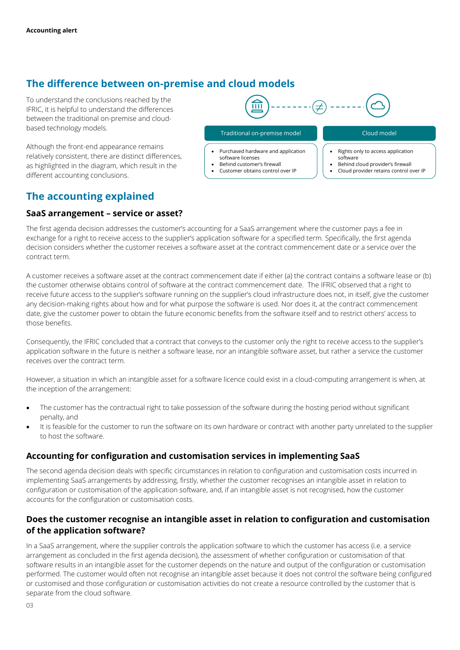## **The difference between on-premise and cloud models**

To understand the conclusions reached by the IFRIC, it is helpful to understand the differences between the traditional on-premise and cloudbased technology models.

Although the front-end appearance remains relatively consistent, there are distinct differences, as highlighted in the diagram, which result in the different accounting conclusions.

## **The accounting explained**

#### **SaaS arrangement – service or asset?**

而 Traditional on-premise model Cloud model Cloud model

- Purchased hardware and application
- software licenses Behind customer's firewall
- Customer obtains control over IP
- Rights only to access application software
- Behind cloud provider's firewall
- Cloud provider retains control over IP

The first agenda decision addresses the customer's accounting for a SaaS arrangement where the customer pays a fee in exchange for a right to receive access to the supplier's application software for a specified term. Specifically, the first agenda decision considers whether the customer receives a software asset at the contract commencement date or a service over the contract term.

A customer receives a software asset at the contract commencement date if either (a) the contract contains a software lease or (b) the customer otherwise obtains control of software at the contract commencement date. The IFRIC observed that a right to receive future access to the supplier's software running on the supplier's cloud infrastructure does not, in itself, give the customer any decision-making rights about how and for what purpose the software is used. Nor does it, at the contract commencement date, give the customer power to obtain the future economic benefits from the software itself and to restrict others' access to those benefits.

Consequently, the IFRIC concluded that a contract that conveys to the customer only the right to receive access to the supplier's application software in the future is neither a software lease, nor an intangible software asset, but rather a service the customer receives over the contract term.

However, a situation in which an intangible asset for a software licence could exist in a cloud-computing arrangement is when, at the inception of the arrangement:

- The customer has the contractual right to take possession of the software during the hosting period without significant penalty, and
- It is feasible for the customer to run the software on its own hardware or contract with another party unrelated to the supplier to host the software.

### **Accounting for configuration and customisation services in implementing SaaS**

The second agenda decision deals with specific circumstances in relation to configuration and customisation costs incurred in implementing SaaS arrangements by addressing, firstly, whether the customer recognises an intangible asset in relation to configuration or customisation of the application software, and, if an intangible asset is not recognised, how the customer accounts for the configuration or customisation costs.

### **Does the customer recognise an intangible asset in relation to configuration and customisation of the application software?**

In a SaaS arrangement, where the supplier controls the application software to which the customer has access (i.e. a service arrangement as concluded in the first agenda decision), the assessment of whether configuration or customisation of that software results in an intangible asset for the customer depends on the nature and output of the configuration or customisation performed. The customer would often not recognise an intangible asset because it does not control the software being configured or customised and those configuration or customisation activities do not create a resource controlled by the customer that is separate from the cloud software.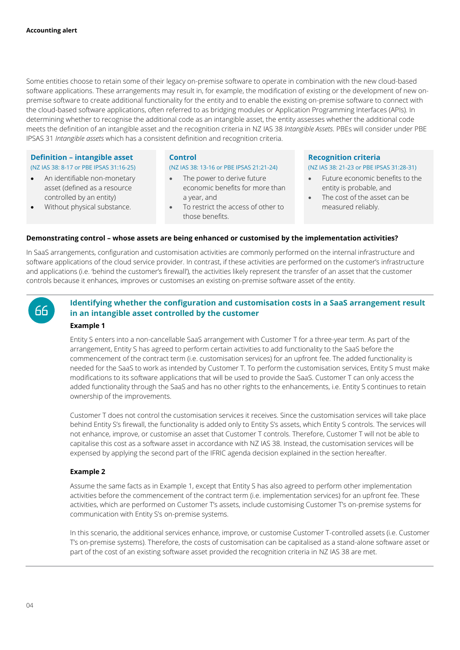Some entities choose to retain some of their legacy on-premise software to operate in combination with the new cloud-based software applications. These arrangements may result in, for example, the modification of existing or the development of new onpremise software to create additional functionality for the entity and to enable the existing on-premise software to connect with the cloud-based software applications, often referred to as bridging modules or Application Programming Interfaces (APIs). In determining whether to recognise the additional code as an intangible asset, the entity assesses whether the additional code meets the definition of an intangible asset and the recognition criteria in NZ IAS 38 *Intangible Assets*. PBEs will consider under PBE IPSAS 31 *Intangible assets* which has a consistent definition and recognition criteria.

#### **Definition – intangible asset** (NZ IAS 38: 8-17 or PBE IPSAS 31:16-25)

- An identifiable non-monetary asset (defined as a resource controlled by an entity)
- Without physical substance.

#### **Control**

#### (NZ IAS 38: 13-16 or PBE IPSAS 21:21-24)

- The power to derive future economic benefits for more than a year, and
- To restrict the access of other to those benefits.

#### **Recognition criteria**

#### (NZ IAS 38: 21-23 or PBE IPSAS 31:28-31)

- Future economic benefits to the entity is probable, and
- The cost of the asset can be measured reliably.

#### **Demonstrating control – whose assets are being enhanced or customised by the implementation activities?**

In SaaS arrangements, configuration and customisation activities are commonly performed on the internal infrastructure and software applications of the cloud service provider. In contrast, if these activities are performed on the customer's infrastructure and applications (i.e. 'behind the customer's firewall'), the activities likely represent the transfer of an asset that the customer controls because it enhances, improves or customises an existing on-premise software asset of the entity.



#### **Identifying whether the configuration and customisation costs in a SaaS arrangement result in an intangible asset controlled by the customer**

#### **Example 1**

Entity S enters into a non-cancellable SaaS arrangement with Customer T for a three-year term. As part of the arrangement, Entity S has agreed to perform certain activities to add functionality to the SaaS before the commencement of the contract term (i.e. customisation services) for an upfront fee. The added functionality is needed for the SaaS to work as intended by Customer T. To perform the customisation services, Entity S must make modifications to its software applications that will be used to provide the SaaS. Customer T can only access the added functionality through the SaaS and has no other rights to the enhancements, i.e. Entity S continues to retain ownership of the improvements.

Customer T does not control the customisation services it receives. Since the customisation services will take place behind Entity S's firewall, the functionality is added only to Entity S's assets, which Entity S controls. The services will not enhance, improve, or customise an asset that Customer T controls. Therefore, Customer T will not be able to capitalise this cost as a software asset in accordance with NZ IAS 38. Instead, the customisation services will be expensed by applying the second part of the IFRIC agenda decision explained in the section hereafter.

#### **Example 2**

Assume the same facts as in Example 1, except that Entity S has also agreed to perform other implementation activities before the commencement of the contract term (i.e. implementation services) for an upfront fee. These activities, which are performed on Customer T's assets, include customising Customer T's on-premise systems for communication with Entity S's on-premise systems.

In this scenario, the additional services enhance, improve, or customise Customer T-controlled assets (i.e. Customer T's on-premise systems). Therefore, the costs of customisation can be capitalised as a stand-alone software asset or part of the cost of an existing software asset provided the recognition criteria in NZ IAS 38 are met.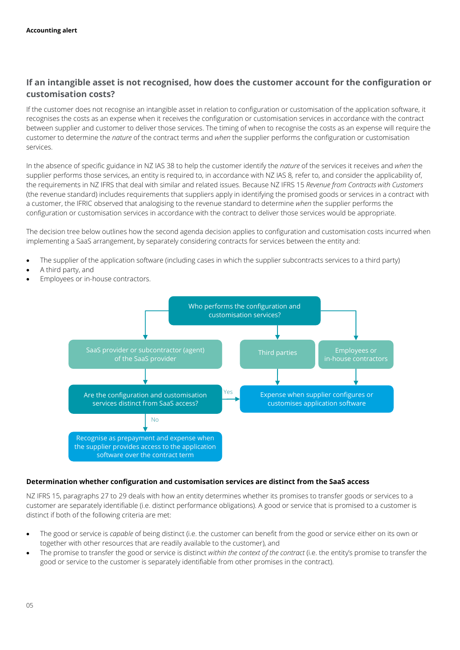### **If an intangible asset is not recognised, how does the customer account for the configuration or customisation costs?**

If the customer does not recognise an intangible asset in relation to configuration or customisation of the application software, it recognises the costs as an expense when it receives the configuration or customisation services in accordance with the contract between supplier and customer to deliver those services. The timing of when to recognise the costs as an expense will require the customer to determine the *nature* of the contract terms and *when* the supplier performs the configuration or customisation services.

In the absence of specific guidance in NZ IAS 38 to help the customer identify the *nature* of the services it receives and *when* the supplier performs those services, an entity is required to, in accordance with NZ IAS 8*,* refer to, and consider the applicability of, the requirements in NZ IFRS that deal with similar and related issues. Because NZ IFRS 15 *Revenue from Contracts with Customers* (the revenue standard) includes requirements that suppliers apply in identifying the promised goods or services in a contract with a customer, the IFRIC observed that analogising to the revenue standard to determine *when* the supplier performs the configuration or customisation services in accordance with the contract to deliver those services would be appropriate.

The decision tree below outlines how the second agenda decision applies to configuration and customisation costs incurred when implementing a SaaS arrangement, by separately considering contracts for services between the entity and:

- The supplier of the application software (including cases in which the supplier subcontracts services to a third party)
- A third party, and
- Employees or in-house contractors.



#### **Determination whether configuration and customisation services are distinct from the SaaS access**

NZ IFRS 15, paragraphs 27 to 29 deals with how an entity determines whether its promises to transfer goods or services to a [customer](https://dart.deloitte.com/iGAAP/home/ifrs-literature/ifrs-standards-linked-deloitte-accounting-guidance/international-financial-reporting-standards-linked-deloitte/international-financial-reporting-standards/ifrs-15/ifrs-15-revenue-from-contracts-with#SL185038788-311002) are separately identifiable (i.e. distinct performance obligations). A good or service that is promised to a [customer](https://dart.deloitte.com/iGAAP/home/ifrs-literature/ifrs-standards-linked-deloitte-accounting-guidance/international-financial-reporting-standards-linked-deloitte/international-financial-reporting-standards/ifrs-15/ifrs-15-revenue-from-contracts-with#SL185038788-311002) is distinct if both of the following criteria are met:

- The good or service is *capable* of being distinct (i.e. the customer can benefit from the good or service either on its own or together with other resources that are readily available to the customer), and
- The promise to transfer the good or service is distinct *within the context of the contract* (i.e. the entity's promise to transfer the good or service to the customer is separately identifiable from other promises in the [contract\)](https://dart.deloitte.com/iGAAP/home/ifrs-literature/ifrs-standards-linked-deloitte-accounting-guidance/international-financial-reporting-standards-linked-deloitte/international-financial-reporting-standards/ifrs-15/ifrs-15-revenue-from-contracts-with#SL185038771-311002).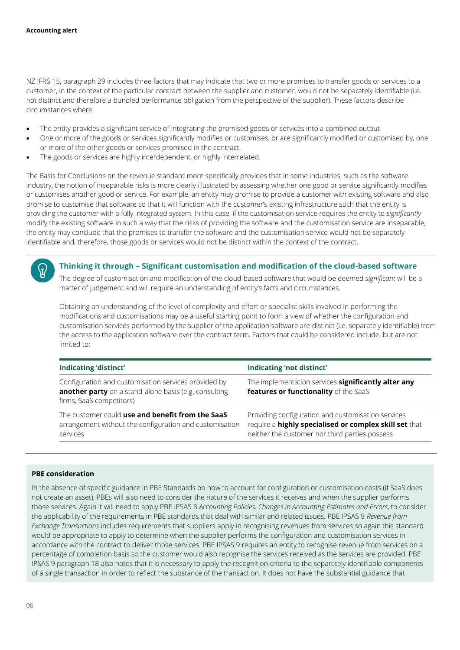NZ IFRS 15, paragraph 29 includes three factors that may indicate that two or more promises to transfer goods or services to a customer, in the context of the particular contract between the supplier and customer, would not be separately identifiable (i.e. not distinct and therefore a bundled performance obligation from the perspective of the supplier). These factors describe circumstances where:

- The entity provides a significant service of integrating the promised goods or services into a combined output
- One or more of the goods or services significantly modifies or customises, or are significantly modified or customised by, one or more of the other goods or services promised in the contract.
- The goods or services are highly interdependent, or highly interrelated.

The Basis for Conclusions on the revenue standard more specifically provides that in some industries, such as the software industry, the notion of inseparable risks is more clearly illustrated by assessing whether one good or service significantly modifies or customises another good or service. For example, an entity may promise to provide a customer with existing software and also promise to customise that software so that it will function with the customer's existing infrastructure such that the entity is providing the customer with a fully integrated system. In this case, if the customisation service requires the entity to *significantly* modify the existing software in such a way that the risks of providing the software and the customisation service are inseparable, the entity may conclude that the promises to transfer the software and the customisation service would not be separately identifiable and, therefore, those goods or services would not be distinct within the context of the contract.



#### **Thinking it through – Significant customisation and modification of the cloud-based software**

The degree of customisation and modification of the cloud-based software that would be deemed *significant* will be a matter of judgement and will require an understanding of entity's facts and circumstances.

Obtaining an understanding of the level of complexity and effort or specialist skills involved in performing the modifications and customisations may be a useful starting point to form a view of whether the configuration and customisation services performed by the supplier of the application software are distinct (i.e. separately identifiable) from the access to the application software over the contract term. Factors that could be considered include, but are not limited to:

| Indicating 'distinct'                                                                                                                     | Indicating 'not distinct'                                                                                                                                      |
|-------------------------------------------------------------------------------------------------------------------------------------------|----------------------------------------------------------------------------------------------------------------------------------------------------------------|
| Configuration and customisation services provided by<br>another party on a stand-alone basis (e.g. consulting<br>firms, SaaS competitors) | The implementation services significantly alter any<br>features or functionality of the SaaS                                                                   |
| The customer could use and benefit from the SaaS<br>arrangement without the configuration and customisation<br>services                   | Providing configuration and customisation services<br>require a highly specialised or complex skill set that<br>neither the customer nor third parties possess |

#### **PBE consideration**

In the absence of specific guidance in PBE Standards on how to account for configuration or customisation costs (if SaaS does not create an asset), PBEs will also need to consider the nature of the services it receives and when the supplier performs those services. Again it will need to apply PBE IPSAS 3 *Accounting Policies, Changes in Accounting Estimates and Errors*, to consider the applicability of the requirements in PBE standards that deal with similar and related issues. PBE IPSAS 9 *Revenue from Exchange Transactions* includes requirements that suppliers apply in recognising revenues from services so again this standard would be appropriate to apply to determine when the supplier performs the configuration and customisation services in accordance with the contract to deliver those services. PBE IPSAS 9 requires an entity to recognise revenue from services on a percentage of completion basis so the customer would also recognise the services received as the services are provided. PBE IPSAS 9 paragraph 18 also notes that it is necessary to apply the recognition criteria to the separately identifiable components of a single transaction in order to reflect the substance of the transaction. It does not have the substantial guidance that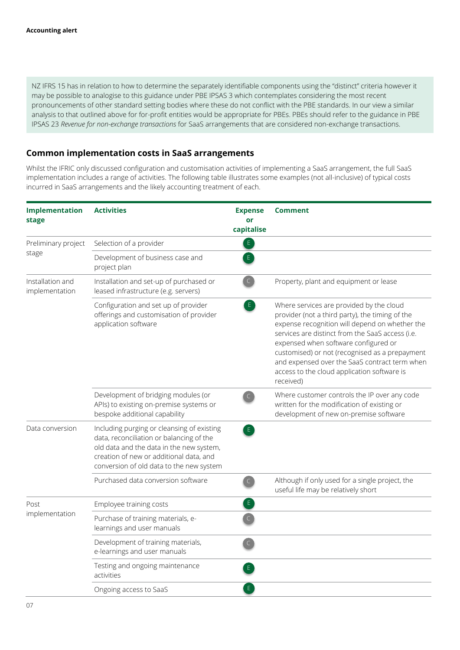NZ IFRS 15 has in relation to how to determine the separately identifiable components using the "distinct" criteria however it may be possible to analogise to this guidance under PBE IPSAS 3 which contemplates considering the most recent pronouncements of other standard setting bodies where these do not conflict with the PBE standards. In our view a similar analysis to that outlined above for for-profit entities would be appropriate for PBEs. PBEs should refer to the guidance in PBE IPSAS 23 *Revenue for non-exchange transactions* for SaaS arrangements that are considered non-exchange transactions.

### **Common implementation costs in SaaS arrangements**

Whilst the IFRIC only discussed configuration and customisation activities of implementing a SaaS arrangement, the full SaaS implementation includes a range of activities. The following table illustrates some examples (not all-inclusive) of typical costs incurred in SaaS arrangements and the likely accounting treatment of each.

| Implementation<br>stage            | <b>Activities</b>                                                                                                                                                                                                         | <b>Expense</b><br>or<br>capitalise | <b>Comment</b>                                                                                                                                                                                                                                                                                                                                                                                           |
|------------------------------------|---------------------------------------------------------------------------------------------------------------------------------------------------------------------------------------------------------------------------|------------------------------------|----------------------------------------------------------------------------------------------------------------------------------------------------------------------------------------------------------------------------------------------------------------------------------------------------------------------------------------------------------------------------------------------------------|
| Preliminary project<br>stage       | Selection of a provider                                                                                                                                                                                                   | $\epsilon$                         |                                                                                                                                                                                                                                                                                                                                                                                                          |
|                                    | Development of business case and<br>project plan                                                                                                                                                                          | E                                  |                                                                                                                                                                                                                                                                                                                                                                                                          |
| Installation and<br>implementation | Installation and set-up of purchased or<br>leased infrastructure (e.g. servers)                                                                                                                                           | $\mathsf{C}$                       | Property, plant and equipment or lease                                                                                                                                                                                                                                                                                                                                                                   |
|                                    | Configuration and set up of provider<br>offerings and customisation of provider<br>application software                                                                                                                   | E                                  | Where services are provided by the cloud<br>provider (not a third party), the timing of the<br>expense recognition will depend on whether the<br>services are distinct from the SaaS access (i.e.<br>expensed when software configured or<br>customised) or not (recognised as a prepayment<br>and expensed over the SaaS contract term when<br>access to the cloud application software is<br>received) |
|                                    | Development of bridging modules (or<br>APIs) to existing on-premise systems or<br>bespoke additional capability                                                                                                           | $\subset$                          | Where customer controls the IP over any code<br>written for the modification of existing or<br>development of new on-premise software                                                                                                                                                                                                                                                                    |
| Data conversion                    | Including purging or cleansing of existing<br>data, reconciliation or balancing of the<br>old data and the data in the new system,<br>creation of new or additional data, and<br>conversion of old data to the new system | E                                  |                                                                                                                                                                                                                                                                                                                                                                                                          |
|                                    | Purchased data conversion software                                                                                                                                                                                        | $\mathsf{C}$                       | Although if only used for a single project, the<br>useful life may be relatively short                                                                                                                                                                                                                                                                                                                   |
| Post<br>implementation             | Employee training costs                                                                                                                                                                                                   | $\mathsf{E}$                       |                                                                                                                                                                                                                                                                                                                                                                                                          |
|                                    | Purchase of training materials, e-<br>learnings and user manuals                                                                                                                                                          | $\mathsf{C}$                       |                                                                                                                                                                                                                                                                                                                                                                                                          |
|                                    | Development of training materials,<br>e-learnings and user manuals                                                                                                                                                        | $\mathsf C$                        |                                                                                                                                                                                                                                                                                                                                                                                                          |
|                                    | Testing and ongoing maintenance<br>activities                                                                                                                                                                             | E.                                 |                                                                                                                                                                                                                                                                                                                                                                                                          |
|                                    | Ongoing access to SaaS                                                                                                                                                                                                    | $\mathsf E$                        |                                                                                                                                                                                                                                                                                                                                                                                                          |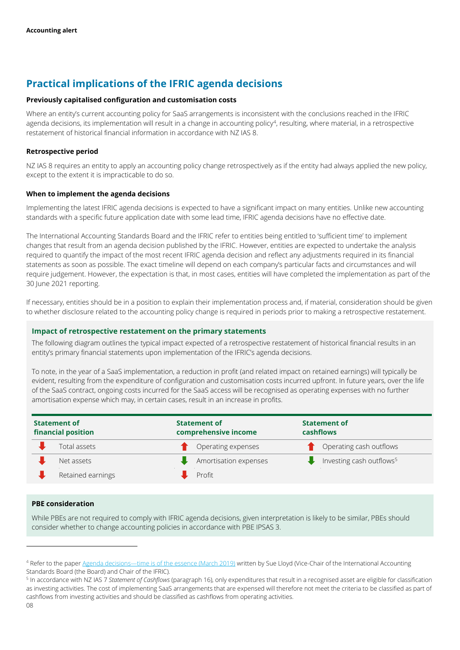## **Practical implications of the IFRIC agenda decisions**

#### **Previously capitalised configuration and customisation costs**

Where an entity's current accounting policy for SaaS arrangements is inconsistent with the conclusions reached in the IFRIC agenda decisions, its implementation will result in a change in accounting policy<sup>4</sup>, resulting, where material, in a retrospective restatement of historical financial information in accordance with NZ IAS 8.

#### **Retrospective period**

NZ IAS 8 requires an entity to apply an accounting policy change retrospectively as if the entity had always applied the new policy, except to the extent it is impracticable to do so.

#### **When to implement the agenda decisions**

Implementing the latest IFRIC agenda decisions is expected to have a significant impact on many entities. Unlike new accounting standards with a specific future application date with some lead time, IFRIC agenda decisions have no effective date.

The International Accounting Standards Board and the IFRIC refer to entities being entitled to 'sufficient time' to implement changes that result from an agenda decision published by the IFRIC. However, entities are expected to undertake the analysis required to quantify the impact of the most recent IFRIC agenda decision and reflect any adjustments required in its financial statements as soon as possible. The exact timeline will depend on each company's particular facts and circumstances and will require judgement. However, the expectation is that, in most cases, entities will have completed the implementation as part of the 30 June 2021 reporting.

If necessary, entities should be in a position to explain their implementation process and, if material, consideration should be given to whether disclosure related to the accounting policy change is required in periods prior to making a retrospective restatement.

#### **Impact of retrospective restatement on the primary statements**

The following diagram outlines the typical impact expected of a retrospective restatement of historical financial results in an entity's primary financial statements upon implementation of the IFRIC's agenda decisions.

To note, in the year of a SaaS implementation, a reduction in profit (and related impact on retained earnings) will typically be evident, resulting from the expenditure of configuration and customisation costs incurred upfront. In future years, over the life of the SaaS contract, ongoing costs incurred for the SaaS access will be recognised as operating expenses with no further amortisation expense which may, in certain cases, result in an increase in profits.

| <b>Statement of</b><br>financial position | <b>Statement of</b><br>comprehensive income | <b>Statement of</b><br>cashflows     |
|-------------------------------------------|---------------------------------------------|--------------------------------------|
| Total assets                              | Operating expenses                          | Operating cash outflows              |
| Net assets                                | Amortisation expenses                       | Investing cash outflows <sup>5</sup> |
| Retained earnings                         | Profit                                      |                                      |

#### **PBE consideration**

While PBEs are not required to comply with IFRIC agenda decisions, given interpretation is likely to be similar, PBEs should consider whether to change accounting policies in accordance with PBE IPSAS 3.

l

<sup>4</sup> Refer to the paper Agenda decisions—[time is of the essence \(March 2019\)](https://dart.deloitte.com/UKGAAP/ov-resource/9deb08f2-37ac-11ea-bd31-f1d6436797f8.html) written by Sue Lloyd (Vice-Chair of the International Accounting Standards Board (the Board) and Chair of the IFRIC).

<sup>&</sup>lt;sup>5</sup> In accordance with NZ IAS 7 *Statement of Cashflows* (paragraph 16), only expenditures that result in a recognised asset are eligible for classification as investing activities. The cost of implementing SaaS arrangements that are expensed will therefore not meet the criteria to be classified as part of cashflows from investing activities and should be classified as cashflows from operating activities.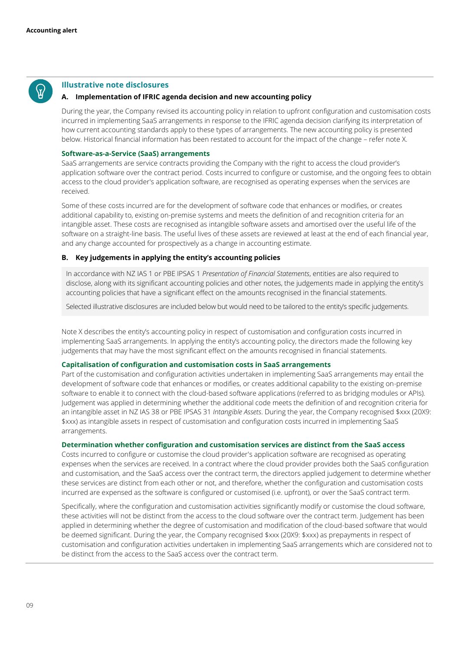#### **Illustrative note disclosures**

#### **A. Implementation of IFRIC agenda decision and new accounting policy**

During the year, the Company revised its accounting policy in relation to upfront configuration and customisation costs incurred in implementing SaaS arrangements in response to the IFRIC agenda decision clarifying its interpretation of how current accounting standards apply to these types of arrangements. The new accounting policy is presented below. Historical financial information has been restated to account for the impact of the change – refer note X.

#### **Software-as-a-Service (SaaS) arrangements**

SaaS arrangements are service contracts providing the Company with the right to access the cloud provider's application software over the contract period. Costs incurred to configure or customise, and the ongoing fees to obtain access to the cloud provider's application software, are recognised as operating expenses when the services are received.

Some of these costs incurred are for the development of software code that enhances or modifies, or creates additional capability to, existing on-premise systems and meets the definition of and recognition criteria for an intangible asset. These costs are recognised as intangible software assets and amortised over the useful life of the software on a straight-line basis. The useful lives of these assets are reviewed at least at the end of each financial year, and any change accounted for prospectively as a change in accounting estimate.

#### **B. Key judgements in applying the entity's accounting policies**

In accordance with NZ IAS 1 or PBE IPSAS 1 *Presentation of Financial Statements*, entities are also required to disclose, along with its significant accounting policies and other notes, the judgements made in applying the entity's accounting policies that have a significant effect on the amounts recognised in the financial statements.

Selected illustrative disclosures are included below but would need to be tailored to the entity's specific judgements.

Note X describes the entity's accounting policy in respect of customisation and configuration costs incurred in implementing SaaS arrangements. In applying the entity's accounting policy, the directors made the following key judgements that may have the most significant effect on the amounts recognised in financial statements.

#### **Capitalisation of configuration and customisation costs in SaaS arrangements**

Part of the customisation and configuration activities undertaken in implementing SaaS arrangements may entail the development of software code that enhances or modifies, or creates additional capability to the existing on-premise software to enable it to connect with the cloud-based software applications (referred to as bridging modules or APIs). Judgement was applied in determining whether the additional code meets the definition of and recognition criteria for an intangible asset in NZ IAS 38 or PBE IPSAS 31 *Intangible Assets*. During the year, the Company recognised \$xxx (20X9: \$xxx) as intangible assets in respect of customisation and configuration costs incurred in implementing SaaS arrangements.

#### **Determination whether configuration and customisation services are distinct from the SaaS access**

Costs incurred to configure or customise the cloud provider's application software are recognised as operating expenses when the services are received. In a contract where the cloud provider provides both the SaaS configuration and customisation, and the SaaS access over the contract term, the directors applied judgement to determine whether these services are distinct from each other or not, and therefore, whether the configuration and customisation costs incurred are expensed as the software is configured or customised (i.e. upfront), or over the SaaS contract term.

Specifically, where the configuration and customisation activities significantly modify or customise the cloud software, these activities will not be distinct from the access to the cloud software over the contract term. Judgement has been applied in determining whether the degree of customisation and modification of the cloud-based software that would be deemed significant. During the year, the Company recognised \$xxx (20X9: \$xxx) as prepayments in respect of customisation and configuration activities undertaken in implementing SaaS arrangements which are considered not to be distinct from the access to the SaaS access over the contract term.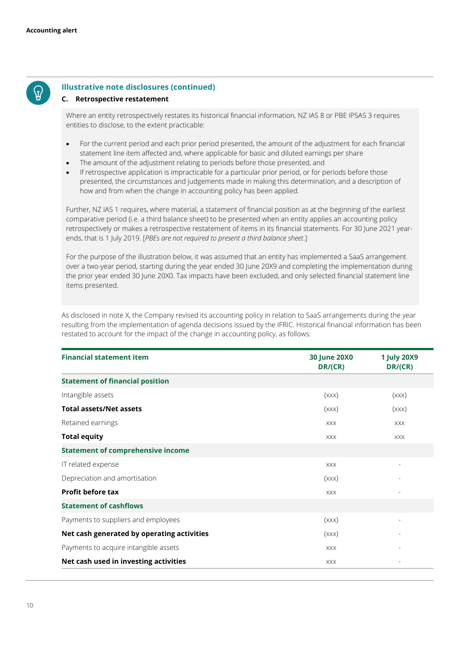

#### **Illustrative note disclosures (continued)**

#### **C. Retrospective restatement**

Where an entity retrospectively restates its historical financial information, NZ IAS 8 or PBE IPSAS 3 requires entities to disclose, to the extent practicable:

- For the current period and each prior period presented, the amount of the adjustment for each financial statement line item affected and, where applicable for basic and diluted earnings per share
- The amount of the adjustment relating to periods before those presented, and
- If retrospective application is impracticable for a particular prior period, or for periods before those presented, the circumstances and judgements made in making this determination, and a description of how and from when the change in accounting policy has been applied.

Further, NZ IAS 1 requires, where material, a statement of financial position as at the beginning of the earliest comparative period (i.e. a third balance sheet) to be presented when an entity applies an accounting policy retrospectively or makes a retrospective restatement of items in its financial statements. For 30 June 2021 yearends, that is 1 July 2019. [*PBEs are not required to present a third balance sheet*.]

For the purpose of the illustration below, it was assumed that an entity has implemented a SaaS arrangement over a two-year period, starting during the year ended 30 June 20X9 and completing the implementation during the prior year ended 30 June 20X0. Tax impacts have been excluded, and only selected financial statement line items presented.

As disclosed in note X, the Company revised its accounting policy in relation to SaaS arrangements during the year resulting from the implementation of agenda decisions issued by the IFRIC. Historical financial information has been restated to account for the impact of the change in accounting policy, as follows:

| <b>Financial statement item</b>            | <b>30 June 20X0</b><br>DR/(CR) | <b>1 July 20X9</b><br>DR/(CR) |
|--------------------------------------------|--------------------------------|-------------------------------|
| <b>Statement of financial position</b>     |                                |                               |
| Intangible assets                          | (xxx)                          | (xxx)                         |
| <b>Total assets/Net assets</b>             | (xxx)                          | (xxx)                         |
| Retained earnings                          | <b>XXX</b>                     | <b>XXX</b>                    |
| <b>Total equity</b>                        | <b>XXX</b>                     | <b>XXX</b>                    |
| <b>Statement of comprehensive income</b>   |                                |                               |
| IT related expense                         | <b>XXX</b>                     |                               |
| Depreciation and amortisation              | (xxx)                          |                               |
| <b>Profit before tax</b>                   | <b>XXX</b>                     |                               |
| <b>Statement of cashflows</b>              |                                |                               |
| Payments to suppliers and employees        | (xxx)                          | $\overline{\phantom{0}}$      |
| Net cash generated by operating activities | (xxx)                          |                               |
| Payments to acquire intangible assets      | <b>XXX</b>                     |                               |
| Net cash used in investing activities      | <b>XXX</b>                     |                               |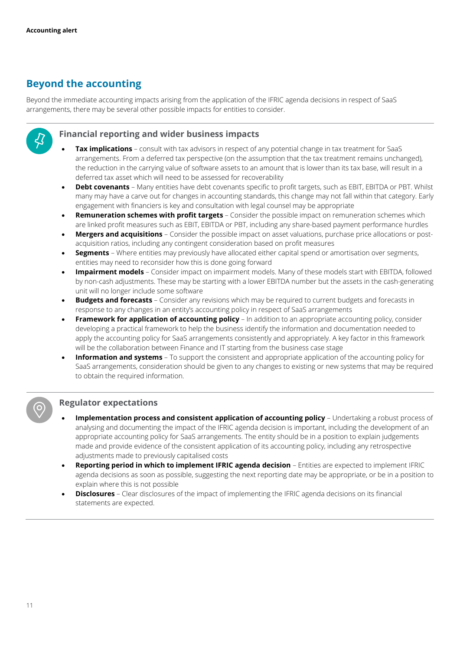## **Beyond the accounting**

Beyond the immediate accounting impacts arising from the application of the IFRIC agenda decisions in respect of SaaS arrangements, there may be several other possible impacts for entities to consider.



#### **Financial reporting and wider business impacts**

- **Tax implications** consult with tax advisors in respect of any potential change in tax treatment for SaaS arrangements. From a deferred tax perspective (on the assumption that the tax treatment remains unchanged), the reduction in the carrying value of software assets to an amount that is lower than its tax base, will result in a deferred tax asset which will need to be assessed for recoverability
- **Debt covenants** Many entities have debt covenants specific to profit targets, such as EBIT, EBITDA or PBT. Whilst many may have a carve out for changes in accounting standards, this change may not fall within that category. Early engagement with financiers is key and consultation with legal counsel may be appropriate
- **Remuneration schemes with profit targets** Consider the possible impact on remuneration schemes which are linked profit measures such as EBIT, EBITDA or PBT, including any share-based payment performance hurdles
- **Mergers and acquisitions**  Consider the possible impact on asset valuations, purchase price allocations or postacquisition ratios, including any contingent consideration based on profit measures
- **Segments** Where entities may previously have allocated either capital spend or amortisation over segments, entities may need to reconsider how this is done going forward
- **Impairment models** Consider impact on impairment models. Many of these models start with EBITDA, followed by non-cash adjustments. These may be starting with a lower EBITDA number but the assets in the cash-generating unit will no longer include some software
- **Budgets and forecasts** Consider any revisions which may be required to current budgets and forecasts in response to any changes in an entity's accounting policy in respect of SaaS arrangements
- **Framework for application of accounting policy** In addition to an appropriate accounting policy, consider developing a practical framework to help the business identify the information and documentation needed to apply the accounting policy for SaaS arrangements consistently and appropriately. A key factor in this framework will be the collaboration between Finance and IT starting from the business case stage
- **Information and systems** To support the consistent and appropriate application of the accounting policy for SaaS arrangements, consideration should be given to any changes to existing or new systems that may be required to obtain the required information.

#### **Regulator expectations**

- **Implementation process and consistent application of accounting policy Undertaking a robust process of** analysing and documenting the impact of the IFRIC agenda decision is important, including the development of an appropriate accounting policy for SaaS arrangements. The entity should be in a position to explain judgements made and provide evidence of the consistent application of its accounting policy, including any retrospective adjustments made to previously capitalised costs
- **Reporting period in which to implement IFRIC agenda decision** Entities are expected to implement IFRIC agenda decisions as soon as possible, suggesting the next reporting date may be appropriate, or be in a position to explain where this is not possible
- **Disclosures** Clear disclosures of the impact of implementing the IFRIC agenda decisions on its financial statements are expected.